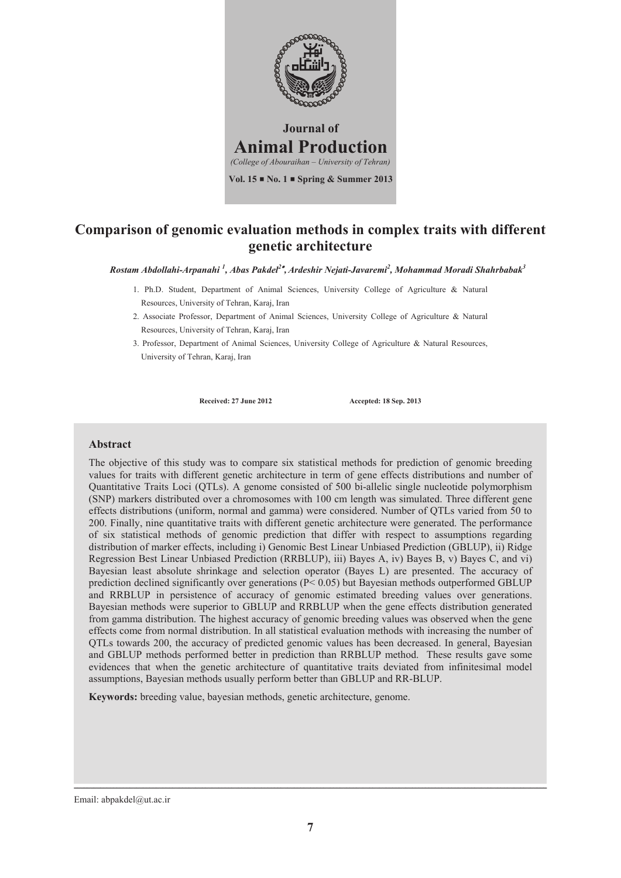

### **Comparison of genomic evaluation methods in complex traits with different genetic architecture**

*Rostam Abdollahi-Arpanahi <sup>1</sup> , Abas Pakdel2 ,Ardeshir Nejati-Javaremi2 , Mohammad Moradi Shahrbabak<sup>3</sup>*

- 1. Ph.D. Student, Department of Animal Sciences, University College of Agriculture & Natural Resources, University of Tehran, Karaj, Iran
- 2. Associate Professor, Department of Animal Sciences, University College of Agriculture & Natural Resources, University of Tehran, Karaj, Iran
- 3. Professor, Department of Animal Sciences, University College of Agriculture & Natural Resources, University of Tehran, Karaj, Iran

**Received: 27 June 2012 Accepted: 18 Sep. 2013**

### **Abstract**

The objective of this study was to compare six statistical methods for prediction of genomic breeding values for traits with different genetic architecture in term of gene effects distributions and number of Quantitative Traits Loci (QTLs). A genome consisted of 500 bi-allelic single nucleotide polymorphism (SNP) markers distributed over a chromosomes with 100 cm length was simulated. Three different gene effects distributions (uniform, normal and gamma) were considered. Number of QTLs varied from 50 to 200. Finally, nine quantitative traits with different genetic architecture were generated. The performance of six statistical methods of genomic prediction that differ with respect to assumptions regarding distribution of marker effects, including i) Genomic Best Linear Unbiased Prediction (GBLUP), ii) Ridge Regression Best Linear Unbiased Prediction (RRBLUP), iii) Bayes A, iv) Bayes B, v) Bayes C, and vi) Bayesian least absolute shrinkage and selection operator (Bayes L) are presented. The accuracy of prediction declined significantly over generations (P< 0.05) but Bayesian methods outperformed GBLUP and RRBLUP in persistence of accuracy of genomic estimated breeding values over generations. Bayesian methods were superior to GBLUP and RRBLUP when the gene effects distribution generated from gamma distribution. The highest accuracy of genomic breeding values was observed when the gene effects come from normal distribution. In all statistical evaluation methods with increasing the number of QTLs towards 200, the accuracy of predicted genomic values has been decreased. In general, Bayesian and GBLUP methods performed better in prediction than RRBLUP method. These results gave some evidences that when the genetic architecture of quantitative traits deviated from infinitesimal model assumptions, Bayesian methods usually perform better than GBLUP and RR-BLUP.

**Keywords:** breeding value, bayesian methods, genetic architecture, genome.

Email: abpakdel@ut.ac.ir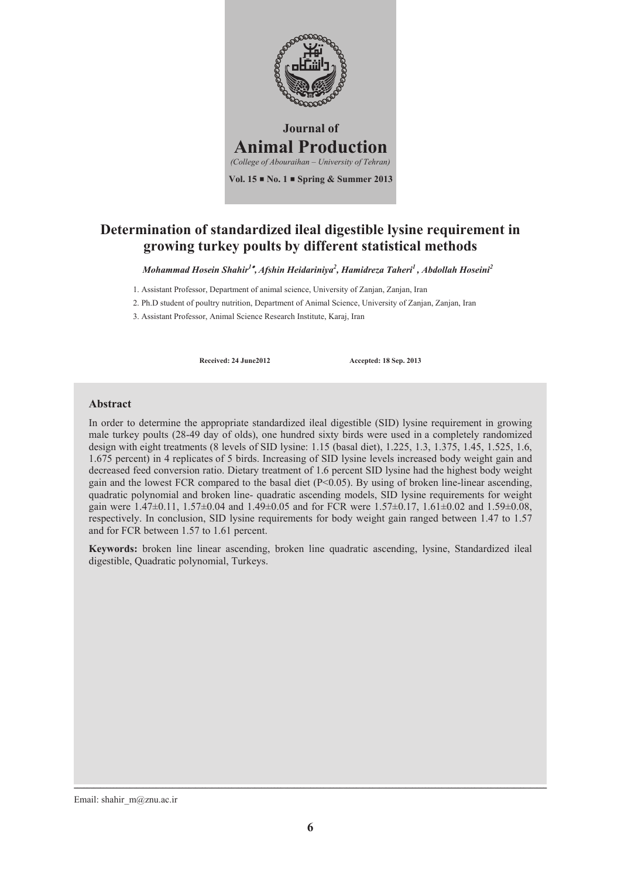

# **Determination of standardized ileal digestible lysine requirement in growing turkey poults by different statistical methods**

*Mohammad Hosein Shahir1 , Afshin Heidariniya2 , Hamidreza Taheri1 , Abdollah Hoseini2* 

1. Assistant Professor, Department of animal science, University of Zanjan, Zanjan, Iran

2. Ph.D student of poultry nutrition, Department of Animal Science, University of Zanjan, Zanjan, Iran

3. Assistant Professor, Animal Science Research Institute, Karaj, Iran

**Received: 24 June2012 Accepted: 18 Sep. 2013**

### **Abstract**

In order to determine the appropriate standardized ileal digestible (SID) lysine requirement in growing male turkey poults (28-49 day of olds), one hundred sixty birds were used in a completely randomized design with eight treatments (8 levels of SID lysine: 1.15 (basal diet), 1.225, 1.3, 1.375, 1.45, 1.525, 1.6, 1.675 percent) in 4 replicates of 5 birds. Increasing of SID lysine levels increased body weight gain and decreased feed conversion ratio. Dietary treatment of 1.6 percent SID lysine had the highest body weight gain and the lowest FCR compared to the basal diet  $(P<0.05)$ . By using of broken line-linear ascending, quadratic polynomial and broken line- quadratic ascending models, SID lysine requirements for weight gain were 1.47 $\pm$ 0.11, 1.57 $\pm$ 0.04 and 1.49 $\pm$ 0.05 and for FCR were 1.57 $\pm$ 0.17, 1.61 $\pm$ 0.02 and 1.59 $\pm$ 0.08, respectively. In conclusion, SID lysine requirements for body weight gain ranged between 1.47 to 1.57 and for FCR between 1.57 to 1.61 percent.

**Keywords:** broken line linear ascending, broken line quadratic ascending, lysine, Standardized ileal digestible, Quadratic polynomial, Turkeys.

Email: shahir\_m@znu.ac.ir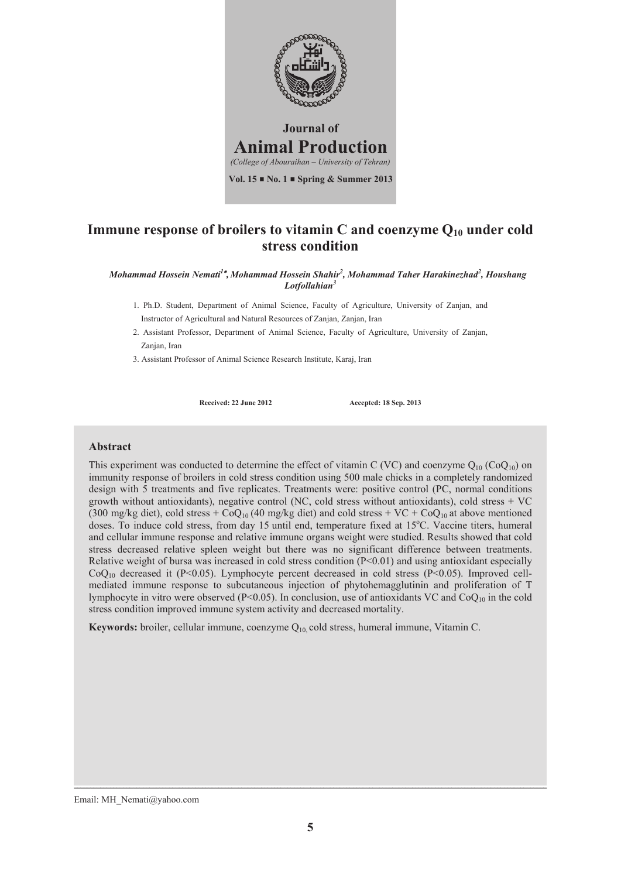

### **Immune response of broilers to vitamin C and coenzyme Q10 under cold stress condition**

*Mohammad Hossein Nemati1 , Mohammad Hossein Shahir2 , Mohammad Taher Harakinezhad2 , Houshang Lotfollahian3* 

- 1. Ph.D. Student, Department of Animal Science, Faculty of Agriculture, University of Zanjan, and Instructor of Agricultural and Natural Resources of Zanjan, Zanjan, Iran
- 2. Assistant Professor, Department of Animal Science, Faculty of Agriculture, University of Zanjan, Zanjan, Iran
- 3. Assistant Professor of Animal Science Research Institute, Karaj, Iran

**Received: 22 June 2012 Accepted: 18 Sep. 2013**

#### **Abstract**

This experiment was conducted to determine the effect of vitamin C (VC) and coenzyme  $Q_{10}$  (Co $Q_{10}$ ) on immunity response of broilers in cold stress condition using 500 male chicks in a completely randomized design with 5 treatments and five replicates. Treatments were: positive control (PC, normal conditions growth without antioxidants), negative control (NC, cold stress without antioxidants), cold stress + VC (300 mg/kg diet), cold stress +  $CoQ_{10}$  (40 mg/kg diet) and cold stress + VC +  $CoQ_{10}$  at above mentioned doses. To induce cold stress, from day 15 until end, temperature fixed at 15°C. Vaccine titers, humeral and cellular immune response and relative immune organs weight were studied. Results showed that cold stress decreased relative spleen weight but there was no significant difference between treatments. Relative weight of bursa was increased in cold stress condition  $(P<0.01)$  and using antioxidant especially  $CoQ<sub>10</sub>$  decreased it (P<0.05). Lymphocyte percent decreased in cold stress (P<0.05). Improved cellmediated immune response to subcutaneous injection of phytohemagglutinin and proliferation of T lymphocyte in vitro were observed ( $P<0.05$ ). In conclusion, use of antioxidants VC and CoQ<sub>10</sub> in the cold stress condition improved immune system activity and decreased mortality.

**Keywords:** broiler, cellular immune, coenzyme Q10, cold stress, humeral immune, Vitamin C.

Email: MH\_Nemati@yahoo.com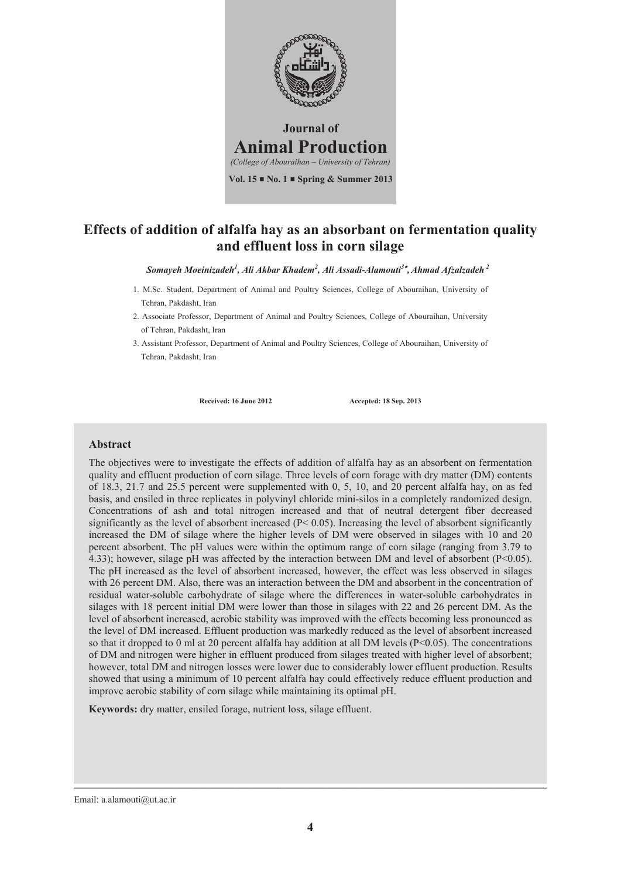

### **Effects of addition of alfalfa hay as an absorbant on fermentation quality and effluent loss in corn silage**

*Somayeh Moeinizadeh1 , Ali Akbar Khadem2 , Ali Assadi-Alamouti<sup>3</sup> , Ahmad Afzalzadeh 2* 

- 1. M.Sc. Student, Department of Animal and Poultry Sciences, College of Abouraihan, University of Tehran, Pakdasht, Iran
- 2. Associate Professor, Department of Animal and Poultry Sciences, College of Abouraihan, University of Tehran, Pakdasht, Iran
- 3. Assistant Professor, Department of Animal and Poultry Sciences, College of Abouraihan, University of Tehran, Pakdasht, Iran

**Received: 16 June 2012 Accepted: 18 Sep. 2013**

#### **Abstract**

The objectives were to investigate the effects of addition of alfalfa hay as an absorbent on fermentation quality and effluent production of corn silage. Three levels of corn forage with dry matter (DM) contents of 18.3, 21.7 and 25.5 percent were supplemented with 0, 5, 10, and 20 percent alfalfa hay, on as fed basis, and ensiled in three replicates in polyvinyl chloride mini-silos in a completely randomized design. Concentrations of ash and total nitrogen increased and that of neutral detergent fiber decreased significantly as the level of absorbent increased ( $P < 0.05$ ). Increasing the level of absorbent significantly increased the DM of silage where the higher levels of DM were observed in silages with 10 and 20 percent absorbent. The pH values were within the optimum range of corn silage (ranging from 3.79 to 4.33); however, silage pH was affected by the interaction between DM and level of absorbent (P<0.05). The pH increased as the level of absorbent increased, however, the effect was less observed in silages with 26 percent DM. Also, there was an interaction between the DM and absorbent in the concentration of residual water-soluble carbohydrate of silage where the differences in water-soluble carbohydrates in silages with 18 percent initial DM were lower than those in silages with 22 and 26 percent DM. As the level of absorbent increased, aerobic stability was improved with the effects becoming less pronounced as the level of DM increased. Effluent production was markedly reduced as the level of absorbent increased so that it dropped to 0 ml at 20 percent alfalfa hay addition at all DM levels  $(P<0.05)$ . The concentrations of DM and nitrogen were higher in effluent produced from silages treated with higher level of absorbent; however, total DM and nitrogen losses were lower due to considerably lower effluent production. Results showed that using a minimum of 10 percent alfalfa hay could effectively reduce effluent production and improve aerobic stability of corn silage while maintaining its optimal pH.

**Keywords:** dry matter, ensiled forage, nutrient loss, silage effluent.

Email: a.alamouti@ut.ac.ir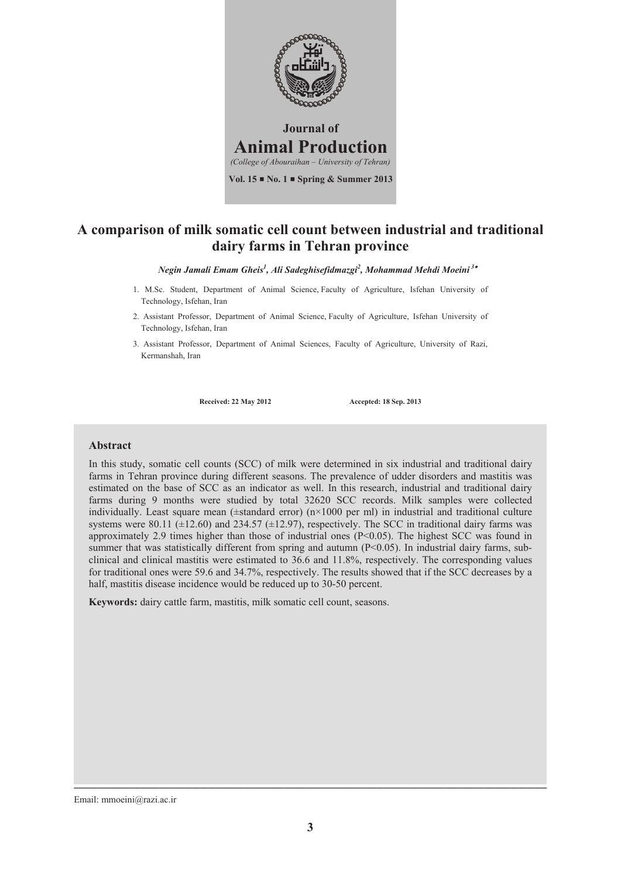

### **A comparison of milk somatic cell count between industrial and traditional dairy farms in Tehran province**

*Negin Jamali Emam Gheis1 , Ali Sadeghisefidmazgi<sup>2</sup> , Mohammad Mehdi Moeini<sup>3</sup>*

- 1. M.Sc. Student, Department of Animal Science, Faculty of Agriculture, Isfehan University of Technology, Isfehan, Iran
- 2. Assistant Professor, Department of Animal Science, Faculty of Agriculture, Isfehan University of Technology, Isfehan, Iran
- 3. Assistant Professor, Department of Animal Sciences, Faculty of Agriculture, University of Razi, Kermanshah, Iran

**Received: 22 May 2012 Accepted: 18 Sep. 2013**

#### **Abstract**

In this study, somatic cell counts (SCC) of milk were determined in six industrial and traditional dairy farms in Tehran province during different seasons. The prevalence of udder disorders and mastitis was estimated on the base of SCC as an indicator as well. In this research, industrial and traditional dairy farms during 9 months were studied by total 32620 SCC records. Milk samples were collected individually. Least square mean ( $\pm$ standard error) (n×1000 per ml) in industrial and traditional culture systems were 80.11 ( $\pm$ 12.60) and 234.57 ( $\pm$ 12.97), respectively. The SCC in traditional dairy farms was approximately 2.9 times higher than those of industrial ones  $(P<0.05)$ . The highest SCC was found in summer that was statistically different from spring and autumn (P<0.05). In industrial dairy farms, subclinical and clinical mastitis were estimated to 36.6 and 11.8%, respectively. The corresponding values for traditional ones were 59.6 and 34.7%, respectively. The results showed that if the SCC decreases by a half, mastitis disease incidence would be reduced up to 30-50 percent.

**Keywords:** dairy cattle farm, mastitis, milk somatic cell count, seasons.

Email: mmoeini@razi.ac.ir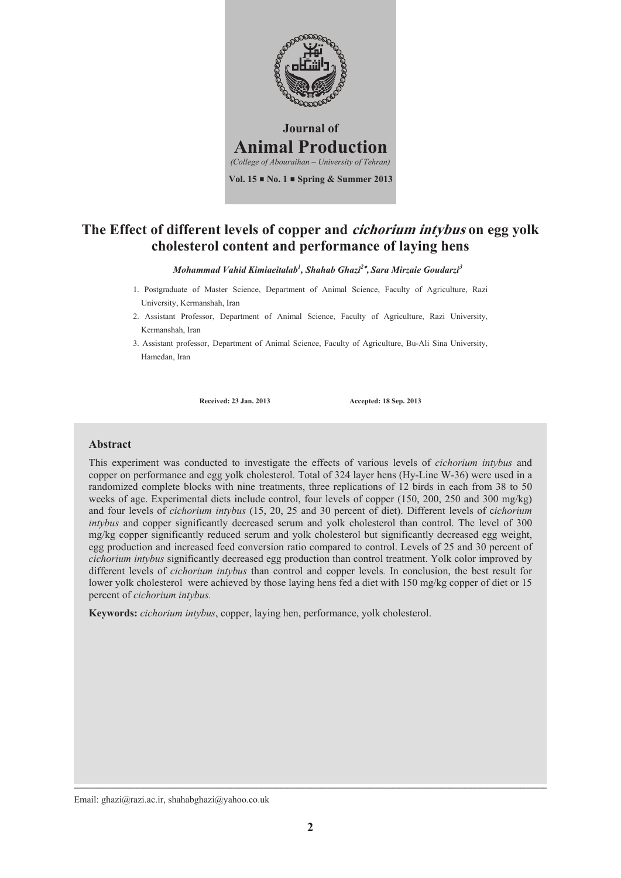

### **The Effect of different levels of copper and cichorium intybus on egg yolk cholesterol content and performance of laying hens**

*Mohammad Vahid Kimiaeitalab1 , Shahab Ghazi2 , Sara Mirzaie Goudarzi<sup>3</sup>*

- 1. Postgraduate of Master Science, Department of Animal Science, Faculty of Agriculture, Razi University, Kermanshah, Iran
- 2. Assistant Professor, Department of Animal Science, Faculty of Agriculture, Razi University, Kermanshah, Iran
- 3. Assistant professor, Department of Animal Science, Faculty of Agriculture, Bu-Ali Sina University, Hamedan, Iran

**Received: 23 Jan. 2013 Accepted: 18 Sep. 2013**

#### **Abstract**

This experiment was conducted to investigate the effects of various levels of *cichorium intybus* and copper on performance and egg yolk cholesterol. Total of 324 layer hens (Hy-Line W-36) were used in a randomized complete blocks with nine treatments, three replications of 12 birds in each from 38 to 50 weeks of age. Experimental diets include control, four levels of copper (150, 200, 250 and 300 mg/kg) and four levels of *cichorium intybus* (15, 20, 25 and 30 percent of diet). Different levels of c*ichorium intybus* and copper significantly decreased serum and yolk cholesterol than control. The level of 300 mg/kg copper significantly reduced serum and yolk cholesterol but significantly decreased egg weight, egg production and increased feed conversion ratio compared to control. Levels of 25 and 30 percent of *cichorium intybus* significantly decreased egg production than control treatment. Yolk color improved by different levels of *cichorium intybus* than control and copper levels*.* In conclusion, the best result for lower yolk cholesterol were achieved by those laying hens fed a diet with 150 mg/kg copper of diet or 15 percent of *cichorium intybus.*

**Keywords:** *cichorium intybus*, copper, laying hen, performance, yolk cholesterol.

Email: ghazi@razi.ac.ir, shahabghazi@yahoo.co.uk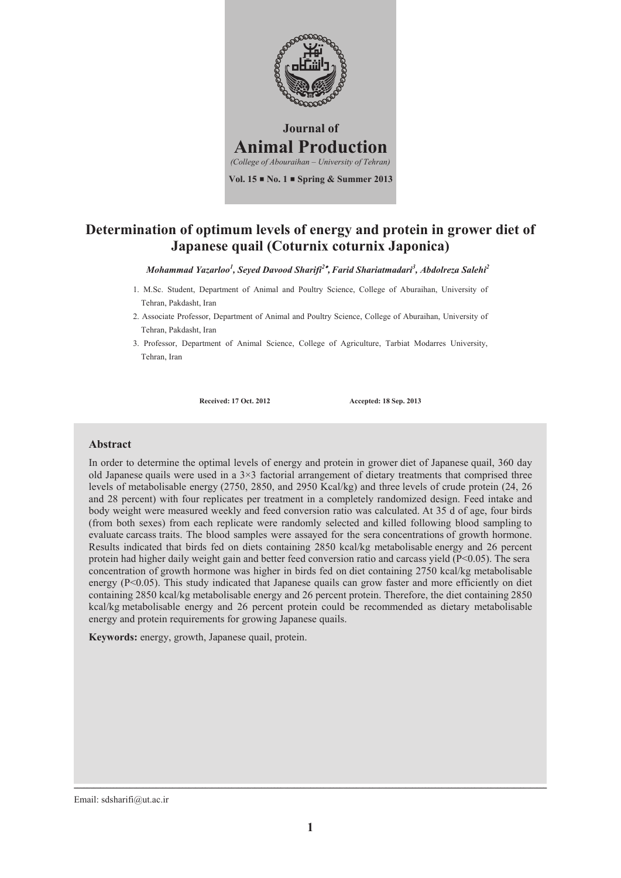

# **Determination of optimum levels of energy and protein in grower diet of Japanese quail (Coturnix coturnix Japonica)**

*Mohammad Yazarloo<sup>1</sup> , Seyed Davood Sharifi2 ,Farid Shariatmadari3 , Abdolreza Salehi2* 

- 1. M.Sc. Student, Department of Animal and Poultry Science, College of Aburaihan, University of Tehran, Pakdasht, Iran
- 2. Associate Professor, Department of Animal and Poultry Science, College of Aburaihan, University of Tehran, Pakdasht, Iran
- 3. Professor, Department of Animal Science, College of Agriculture, Tarbiat Modarres University, Tehran, Iran

**Received: 17 Oct. 2012 Accepted: 18 Sep. 2013**

#### **Abstract**

In order to determine the optimal levels of energy and protein in grower diet of Japanese quail, 360 day old Japanese quails were used in a  $3\times3$  factorial arrangement of dietary treatments that comprised three levels of metabolisable energy (2750, 2850, and 2950 Kcal/kg) and three levels of crude protein (24, 26 and 28 percent) with four replicates per treatment in a completely randomized design. Feed intake and body weight were measured weekly and feed conversion ratio was calculated. At 35 d of age, four birds (from both sexes) from each replicate were randomly selected and killed following blood sampling to evaluate carcass traits. The blood samples were assayed for the sera concentrations of growth hormone. Results indicated that birds fed on diets containing 2850 kcal/kg metabolisable energy and 26 percent protein had higher daily weight gain and better feed conversion ratio and carcass yield (P<0.05). The sera concentration of growth hormone was higher in birds fed on diet containing 2750 kcal/kg metabolisable energy (P<0.05). This study indicated that Japanese quails can grow faster and more efficiently on diet containing 2850 kcal/kg metabolisable energy and 26 percent protein. Therefore, the diet containing 2850 kcal/kg metabolisable energy and 26 percent protein could be recommended as dietary metabolisable energy and protein requirements for growing Japanese quails.

**Keywords:** energy, growth, Japanese quail, protein.

Email: sdsharifi@ut.ac.ir